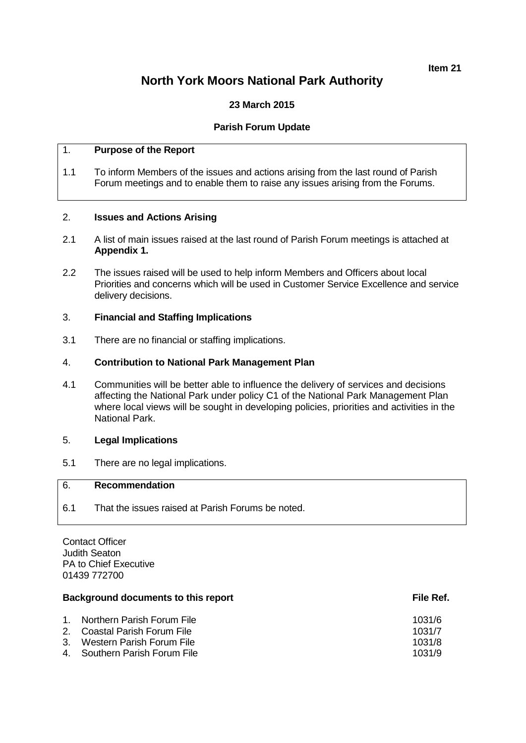## **Item 21**

# **North York Moors National Park Authority**

## **23 March 2015**

## **Parish Forum Update**

## 1. **Purpose of the Report**

1.1 To inform Members of the issues and actions arising from the last round of Parish Forum meetings and to enable them to raise any issues arising from the Forums.

## 2. **Issues and Actions Arising**

- 2.1 A list of main issues raised at the last round of Parish Forum meetings is attached at **Appendix 1.**
- 2.2 The issues raised will be used to help inform Members and Officers about local Priorities and concerns which will be used in Customer Service Excellence and service delivery decisions.

## 3. **Financial and Staffing Implications**

3.1 There are no financial or staffing implications.

## 4. **Contribution to National Park Management Plan**

4.1 Communities will be better able to influence the delivery of services and decisions affecting the National Park under policy C1 of the National Park Management Plan where local views will be sought in developing policies, priorities and activities in the National Park.

## 5. **Legal Implications**

5.1 There are no legal implications.

## 6. **Recommendation**

6.1 That the issues raised at Parish Forums be noted.

Contact Officer Judith Seaton PA to Chief Executive 01439 772700

#### **Background documents to this report File Ref.** File Ref.

| 1. Northern Parish Forum File   | 1031/6 |
|---------------------------------|--------|
| 2.    Coastal Parish Forum File | 1031/7 |
| 3. Western Parish Forum File    | 1031/8 |
| 4. Southern Parish Forum File   | 1031/9 |